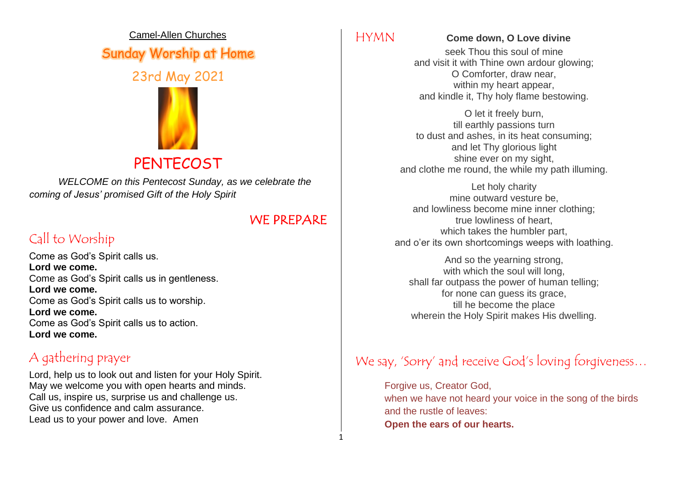## Camel-Allen Churches Sunday Worship at Home

# 23rd May 2021



# **PENTECOST**

*WELCOME on this Pentecost Sunday, as we celebrate the coming of Jesus' promised Gift of the Holy Spirit*

## WE PREPARE

1

# Call to Worship

Come as God's Spirit calls us. **Lord we come.** Come as God's Spirit calls us in gentleness. **Lord we come.** Come as God's Spirit calls us to worship. **Lord we come.** Come as God's Spirit calls us to action. **Lord we come.**

### A gathering prayer

Lord, help us to look out and listen for your Holy Spirit. May we welcome you with open hearts and minds. Call us, inspire us, surprise us and challenge us. Give us confidence and calm assurance. Lead us to your power and love. Amen

#### HYMN **Come down, O Love divine**

seek Thou this soul of mine and visit it with Thine own ardour glowing; O Comforter, draw near, within my heart appear, and kindle it, Thy holy flame bestowing.

O let it freely burn, till earthly passions turn to dust and ashes, in its heat consuming; and let Thy glorious light shine ever on my sight, and clothe me round, the while my path illuming.

Let holy charity mine outward vesture be, and lowliness become mine inner clothing; true lowliness of heart, which takes the humbler part, and o'er its own shortcomings weeps with loathing.

And so the yearning strong, with which the soul will long, shall far outpass the power of human telling; for none can guess its grace, till he become the place wherein the Holy Spirit makes His dwelling.

# We say, 'Sorry' and receive God's loving forgiveness…

Forgive us, Creator God, when we have not heard your voice in the song of the birds and the rustle of leaves: **Open the ears of our hearts.**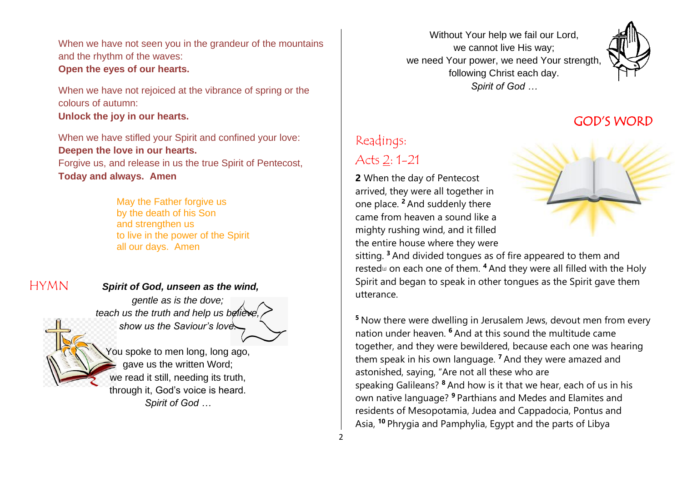When we have not seen you in the grandeur of the mountains and the rhythm of the waves: **Open the eyes of our hearts.**

When we have not rejoiced at the vibrance of spring or the colours of autumn:

**Unlock the joy in our hearts.**

When we have stifled your Spirit and confined your love: **Deepen the love in our hearts.** Forgive us, and release in us the true Spirit of Pentecost,

**Today and always. Amen**

May the Father forgive us by the death of his Son and strengthen us to live in the power of the Spirit all our days. Amen

#### HYMN *Spirit of God, unseen as the wind,*

*gentle as is the dove; teach us the truth and help us believe, show us the Saviour's love.*

You spoke to men long, long ago, gave us the written Word; we read it still, needing its truth, through it, God's voice is heard. *Spirit of God …*

Without Your help we fail our Lord, we cannot live His way; we need Your power, we need Your strength, following Christ each day. *Spirit of God …*



## GOD'S WORD

# Readings: Acts 2: 1-21

**2** When the day of Pentecost arrived, they were all together in one place. **<sup>2</sup>** And suddenly there came from heaven a sound like a mighty rushing wind, and it filled the entire house where they were



sitting. **<sup>3</sup>** And divided tongues as of fire appeared to them and rested[\[a\]](https://www.biblegateway.com/passage/?search=Acts+2&version=ESV#fen-ESV-26941a) on each one of them. **<sup>4</sup>** And they were all filled with the Holy Spirit and began to speak in other tongues as the Spirit gave them utterance.

**<sup>5</sup>** Now there were dwelling in Jerusalem Jews, devout men from every nation under heaven. **<sup>6</sup>** And at this sound the multitude came together, and they were bewildered, because each one was hearing them speak in his own language. **<sup>7</sup>** And they were amazed and astonished, saying, "Are not all these who are speaking Galileans? **<sup>8</sup>** And how is it that we hear, each of us in his own native language? **<sup>9</sup>** Parthians and Medes and Elamites and residents of Mesopotamia, Judea and Cappadocia, Pontus and Asia, **<sup>10</sup>** Phrygia and Pamphylia, Egypt and the parts of Libya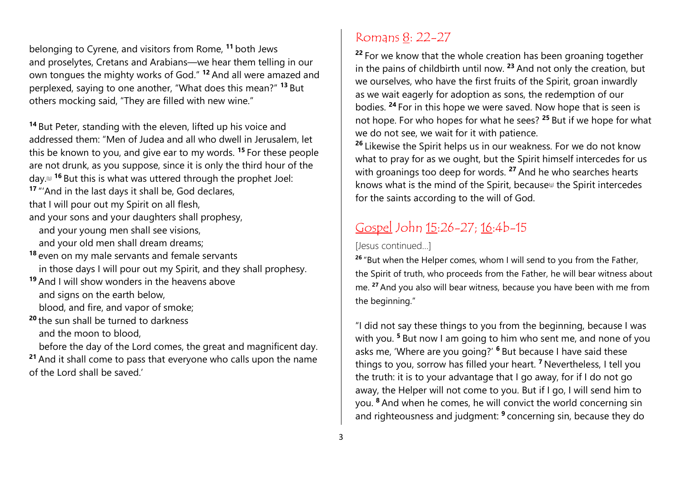belonging to Cyrene, and visitors from Rome, **<sup>11</sup>** both Jews and proselytes, Cretans and Arabians—we hear them telling in our own tongues the mighty works of God." **<sup>12</sup>** And all were amazed and perplexed, saying to one another, "What does this mean?" **<sup>13</sup>** But others mocking said, "They are filled with new wine."

**<sup>14</sup>** But Peter, standing with the eleven, lifted up his voice and addressed them: "Men of Judea and all who dwell in Jerusalem, let this be known to you, and give ear to my words. **<sup>15</sup>** For these people are not drunk, as you suppose, since it is only the third hour of the day.[\[b\]](https://www.biblegateway.com/passage/?search=Acts+2&version=ESV#fen-ESV-26953b) **<sup>16</sup>** But this is what was uttered through the prophet Joel: **<sup>17</sup>** "'And in the last days it shall be, God declares, that I will pour out my Spirit on all flesh, and your sons and your daughters shall prophesy, and your young men shall see visions, and your old men shall dream dreams;

- **<sup>18</sup>** even on my male servants and female servants in those days I will pour out my Spirit, and they shall prophesy.
- **<sup>19</sup>** And I will show wonders in the heavens above and signs on the earth below, blood, and fire, and vapor of smoke;
- **<sup>20</sup>** the sun shall be turned to darkness and the moon to blood,
	- before the day of the Lord comes, the great and magnificent day.
- **<sup>21</sup>** And it shall come to pass that everyone who calls upon the name of the Lord shall be saved.'

# Romans 8: 22-27

**<sup>22</sup>** For we know that the whole creation has been groaning together in the pains of childbirth until now. **<sup>23</sup>** And not only the creation, but we ourselves, who have the first fruits of the Spirit, groan inwardly as we wait eagerly for adoption as sons, the redemption of our bodies. **<sup>24</sup>** For in this hope we were saved. Now hope that is seen is not hope. For who hopes for what he sees? **<sup>25</sup>** But if we hope for what we do not see, we wait for it with patience.

**<sup>26</sup>** Likewise the Spirit helps us in our weakness. For we do not know what to pray for as we ought, but the Spirit himself intercedes for us with groanings too deep for words. **<sup>27</sup>** And he who searches hearts knows what is the mind of the Spirit, because the Spirit intercedes for the saints according to the will of God.

# Gospel John 15:26-27; 16:4b-15

### [Jesus continued…]

**<sup>26</sup>** "But when the Helper comes, whom I will send to you from the Father, the Spirit of truth, who proceeds from the Father, he will bear witness about me. **<sup>27</sup>** And you also will bear witness, because you have been with me from the beginning."

"I did not say these things to you from the beginning, because I was with you. **<sup>5</sup>** But now I am going to him who sent me, and none of you asks me, 'Where are you going?' **<sup>6</sup>** But because I have said these things to you, sorrow has filled your heart. **<sup>7</sup>** Nevertheless, I tell you the truth: it is to your advantage that I go away, for if I do not go away, the Helper will not come to you. But if I go, I will send him to you. **<sup>8</sup>** And when he comes, he will convict the world concerning sin and righteousness and judgment: **<sup>9</sup>** concerning sin, because they do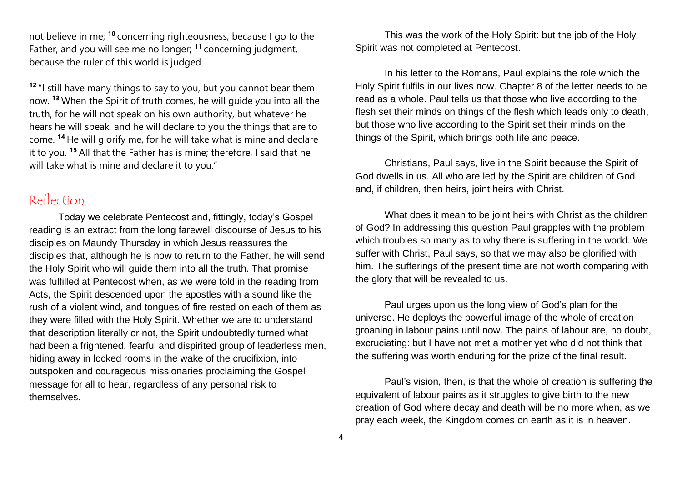not believe in me; **<sup>10</sup>** concerning righteousness, because I go to the Father, and you will see me no longer; **<sup>11</sup>** concerning judgment, because the ruler of this world is judged.

**<sup>12</sup>** "I still have many things to say to you, but you cannot bear them now. **<sup>13</sup>** When the Spirit of truth comes, he will guide you into all the truth, for he will not speak on his own authority, but whatever he hears he will speak, and he will declare to you the things that are to come. **<sup>14</sup>** He will glorify me, for he will take what is mine and declare it to you. **<sup>15</sup>** All that the Father has is mine; therefore, I said that he will take what is mine and declare it to you."

## Reflection

Today we celebrate Pentecost and, fittingly, today's Gospel reading is an extract from the long farewell discourse of Jesus to his disciples on Maundy Thursday in which Jesus reassures the disciples that, although he is now to return to the Father, he will send the Holy Spirit who will guide them into all the truth. That promise was fulfilled at Pentecost when, as we were told in the reading from Acts, the Spirit descended upon the apostles with a sound like the rush of a violent wind, and tongues of fire rested on each of them as they were filled with the Holy Spirit. Whether we are to understand that description literally or not, the Spirit undoubtedly turned what had been a frightened, fearful and dispirited group of leaderless men, hiding away in locked rooms in the wake of the crucifixion, into outspoken and courageous missionaries proclaiming the Gospel message for all to hear, regardless of any personal risk to themselves.

This was the work of the Holy Spirit: but the job of the Holy Spirit was not completed at Pentecost.

In his letter to the Romans, Paul explains the role which the Holy Spirit fulfils in our lives now. Chapter 8 of the letter needs to be read as a whole. Paul tells us that those who live according to the flesh set their minds on things of the flesh which leads only to death, but those who live according to the Spirit set their minds on the things of the Spirit, which brings both life and peace.

Christians, Paul says, live in the Spirit because the Spirit of God dwells in us. All who are led by the Spirit are children of God and, if children, then heirs, joint heirs with Christ.

What does it mean to be joint heirs with Christ as the children of God? In addressing this question Paul grapples with the problem which troubles so many as to why there is suffering in the world. We suffer with Christ, Paul says, so that we may also be glorified with him. The sufferings of the present time are not worth comparing with the glory that will be revealed to us.

Paul urges upon us the long view of God's plan for the universe. He deploys the powerful image of the whole of creation groaning in labour pains until now. The pains of labour are, no doubt, excruciating: but I have not met a mother yet who did not think that the suffering was worth enduring for the prize of the final result.

Paul's vision, then, is that the whole of creation is suffering the equivalent of labour pains as it struggles to give birth to the new creation of God where decay and death will be no more when, as we pray each week, the Kingdom comes on earth as it is in heaven.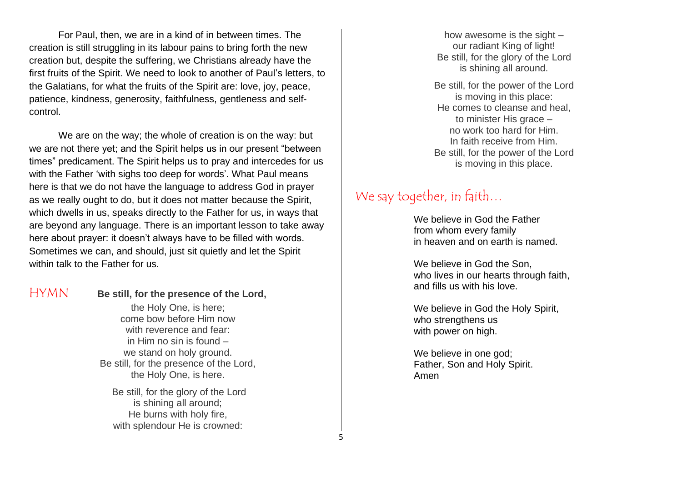For Paul, then, we are in a kind of in between times. The creation is still struggling in its labour pains to bring forth the new creation but, despite the suffering, we Christians already have the first fruits of the Spirit. We need to look to another of Paul's letters, to the Galatians, for what the fruits of the Spirit are: love, joy, peace, patience, kindness, generosity, faithfulness, gentleness and selfcontrol.

We are on the way; the whole of creation is on the way: but we are not there yet; and the Spirit helps us in our present "between times" predicament. The Spirit helps us to pray and intercedes for us with the Father 'with sighs too deep for words'. What Paul means here is that we do not have the language to address God in prayer as we really ought to do, but it does not matter because the Spirit, which dwells in us, speaks directly to the Father for us, in ways that are beyond any language. There is an important lesson to take away here about prayer: it doesn't always have to be filled with words. Sometimes we can, and should, just sit quietly and let the Spirit within talk to the Father for us.

#### HYMN **Be still, for the presence of the Lord,**

the Holy One, is here; come bow before Him now with reverence and fear: in Him no sin is found – we stand on holy ground. Be still, for the presence of the Lord, the Holy One, is here.

Be still, for the glory of the Lord is shining all around; He burns with holy fire, with splendour He is crowned:

how awesome is the sight – our radiant King of light! Be still, for the glory of the Lord is shining all around.

Be still, for the power of the Lord is moving in this place: He comes to cleanse and heal, to minister His grace – no work too hard for Him. In faith receive from Him. Be still, for the power of the Lord is moving in this place.

## We say together, in faith…

 We believe in God the Father from whom every family in heaven and on earth is named.

We believe in God the Son. who lives in our hearts through faith, and fills us with his love.

We believe in God the Holy Spirit, who strengthens us with power on high.

We believe in one god; Father, Son and Holy Spirit. Amen